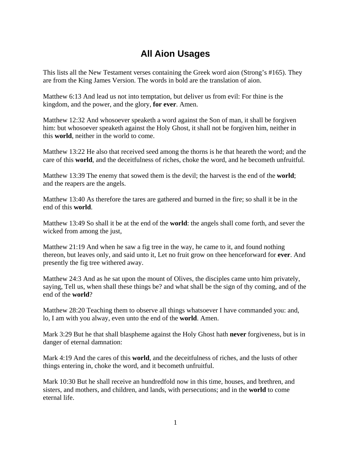## **All Aion Usages**

This lists all the New Testament verses containing the Greek word aion (Strong's #165). They are from the King James Version. The words in bold are the translation of aion.

Matthew 6:13 And lead us not into temptation, but deliver us from evil: For thine is the kingdom, and the power, and the glory, **for ever**. Amen.

Matthew 12:32 And whosoever speaketh a word against the Son of man, it shall be forgiven him: but whosoever speaketh against the Holy Ghost, it shall not be forgiven him, neither in this **world**, neither in the world to come.

Matthew 13:22 He also that received seed among the thorns is he that heareth the word; and the care of this **world**, and the deceitfulness of riches, choke the word, and he becometh unfruitful.

Matthew 13:39 The enemy that sowed them is the devil; the harvest is the end of the **world**; and the reapers are the angels.

Matthew 13:40 As therefore the tares are gathered and burned in the fire; so shall it be in the end of this **world**.

Matthew 13:49 So shall it be at the end of the **world**: the angels shall come forth, and sever the wicked from among the just,

Matthew 21:19 And when he saw a fig tree in the way, he came to it, and found nothing thereon, but leaves only, and said unto it, Let no fruit grow on thee henceforward for **ever**. And presently the fig tree withered away.

Matthew 24:3 And as he sat upon the mount of Olives, the disciples came unto him privately, saying, Tell us, when shall these things be? and what shall be the sign of thy coming, and of the end of the **world**?

Matthew 28:20 Teaching them to observe all things whatsoever I have commanded you: and, lo, I am with you alway, even unto the end of the **world**. Amen.

Mark 3:29 But he that shall blaspheme against the Holy Ghost hath **never** forgiveness, but is in danger of eternal damnation:

Mark 4:19 And the cares of this **world**, and the deceitfulness of riches, and the lusts of other things entering in, choke the word, and it becometh unfruitful.

Mark 10:30 But he shall receive an hundredfold now in this time, houses, and brethren, and sisters, and mothers, and children, and lands, with persecutions; and in the **world** to come eternal life.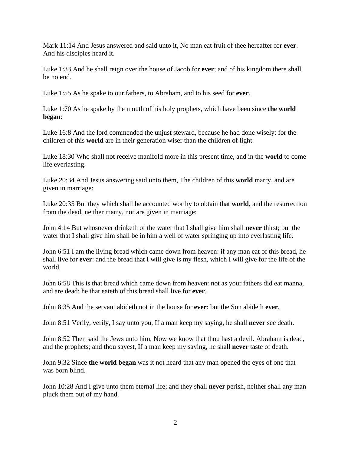Mark 11:14 And Jesus answered and said unto it, No man eat fruit of thee hereafter for **ever**. And his disciples heard it.

Luke 1:33 And he shall reign over the house of Jacob for **ever**; and of his kingdom there shall be no end.

Luke 1:55 As he spake to our fathers, to Abraham, and to his seed for **ever**.

Luke 1:70 As he spake by the mouth of his holy prophets, which have been since **the world began**:

Luke 16:8 And the lord commended the unjust steward, because he had done wisely: for the children of this **world** are in their generation wiser than the children of light.

Luke 18:30 Who shall not receive manifold more in this present time, and in the **world** to come life everlasting.

Luke 20:34 And Jesus answering said unto them, The children of this **world** marry, and are given in marriage:

Luke 20:35 But they which shall be accounted worthy to obtain that **world**, and the resurrection from the dead, neither marry, nor are given in marriage:

John 4:14 But whosoever drinketh of the water that I shall give him shall **never** thirst; but the water that I shall give him shall be in him a well of water springing up into everlasting life.

John 6:51 I am the living bread which came down from heaven: if any man eat of this bread, he shall live for **ever**: and the bread that I will give is my flesh, which I will give for the life of the world.

John 6:58 This is that bread which came down from heaven: not as your fathers did eat manna, and are dead: he that eateth of this bread shall live for **ever**.

John 8:35 And the servant abideth not in the house for **ever**: but the Son abideth **ever**.

John 8:51 Verily, verily, I say unto you, If a man keep my saying, he shall **never** see death.

John 8:52 Then said the Jews unto him, Now we know that thou hast a devil. Abraham is dead, and the prophets; and thou sayest, If a man keep my saying, he shall **never** taste of death.

John 9:32 Since **the world began** was it not heard that any man opened the eyes of one that was born blind.

John 10:28 And I give unto them eternal life; and they shall **never** perish, neither shall any man pluck them out of my hand.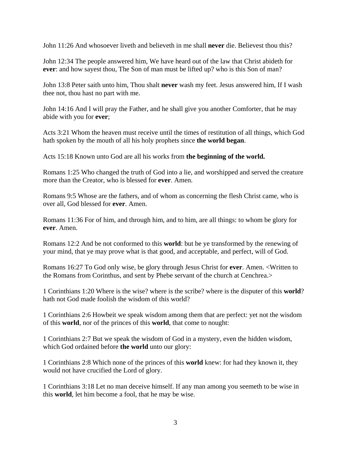John 11:26 And whosoever liveth and believeth in me shall **never** die. Believest thou this?

John 12:34 The people answered him, We have heard out of the law that Christ abideth for **ever**: and how sayest thou, The Son of man must be lifted up? who is this Son of man?

John 13:8 Peter saith unto him, Thou shalt **never** wash my feet. Jesus answered him, If I wash thee not, thou hast no part with me.

John 14:16 And I will pray the Father, and he shall give you another Comforter, that he may abide with you for **ever**;

Acts 3:21 Whom the heaven must receive until the times of restitution of all things, which God hath spoken by the mouth of all his holy prophets since **the world began**.

Acts 15:18 Known unto God are all his works from **the beginning of the world.** 

Romans 1:25 Who changed the truth of God into a lie, and worshipped and served the creature more than the Creator, who is blessed for **ever**. Amen.

Romans 9:5 Whose are the fathers, and of whom as concerning the flesh Christ came, who is over all, God blessed for **ever**. Amen.

Romans 11:36 For of him, and through him, and to him, are all things: to whom be glory for **ever**. Amen.

Romans 12:2 And be not conformed to this **world**: but be ye transformed by the renewing of your mind, that ye may prove what is that good, and acceptable, and perfect, will of God.

Romans 16:27 To God only wise, be glory through Jesus Christ for **ever**. Amen. <Written to the Romans from Corinthus, and sent by Phebe servant of the church at Cenchrea.>

1 Corinthians 1:20 Where is the wise? where is the scribe? where is the disputer of this **world**? hath not God made foolish the wisdom of this world?

1 Corinthians 2:6 Howbeit we speak wisdom among them that are perfect: yet not the wisdom of this **world**, nor of the princes of this **world**, that come to nought:

1 Corinthians 2:7 But we speak the wisdom of God in a mystery, even the hidden wisdom, which God ordained before **the world** unto our glory:

1 Corinthians 2:8 Which none of the princes of this **world** knew: for had they known it, they would not have crucified the Lord of glory.

1 Corinthians 3:18 Let no man deceive himself. If any man among you seemeth to be wise in this **world**, let him become a fool, that he may be wise.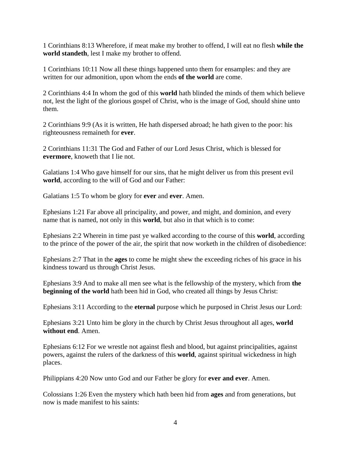1 Corinthians 8:13 Wherefore, if meat make my brother to offend, I will eat no flesh **while the world standeth**, lest I make my brother to offend.

1 Corinthians 10:11 Now all these things happened unto them for ensamples: and they are written for our admonition, upon whom the ends **of the world** are come.

2 Corinthians 4:4 In whom the god of this **world** hath blinded the minds of them which believe not, lest the light of the glorious gospel of Christ, who is the image of God, should shine unto them.

2 Corinthians 9:9 (As it is written, He hath dispersed abroad; he hath given to the poor: his righteousness remaineth for **ever**.

2 Corinthians 11:31 The God and Father of our Lord Jesus Christ, which is blessed for **evermore**, knoweth that I lie not.

Galatians 1:4 Who gave himself for our sins, that he might deliver us from this present evil **world**, according to the will of God and our Father:

Galatians 1:5 To whom be glory for **ever** and **ever**. Amen.

Ephesians 1:21 Far above all principality, and power, and might, and dominion, and every name that is named, not only in this **world**, but also in that which is to come:

Ephesians 2:2 Wherein in time past ye walked according to the course of this **world**, according to the prince of the power of the air, the spirit that now worketh in the children of disobedience:

Ephesians 2:7 That in the **ages** to come he might shew the exceeding riches of his grace in his kindness toward us through Christ Jesus.

Ephesians 3:9 And to make all men see what is the fellowship of the mystery, which from **the beginning of the world** hath been hid in God, who created all things by Jesus Christ:

Ephesians 3:11 According to the **eternal** purpose which he purposed in Christ Jesus our Lord:

Ephesians 3:21 Unto him be glory in the church by Christ Jesus throughout all ages, **world without end**. Amen.

Ephesians 6:12 For we wrestle not against flesh and blood, but against principalities, against powers, against the rulers of the darkness of this **world**, against spiritual wickedness in high places.

Philippians 4:20 Now unto God and our Father be glory for **ever and ever**. Amen.

Colossians 1:26 Even the mystery which hath been hid from **ages** and from generations, but now is made manifest to his saints: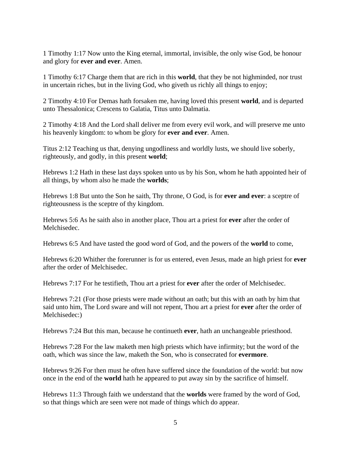1 Timothy 1:17 Now unto the King eternal, immortal, invisible, the only wise God, be honour and glory for **ever and ever**. Amen.

1 Timothy 6:17 Charge them that are rich in this **world**, that they be not highminded, nor trust in uncertain riches, but in the living God, who giveth us richly all things to enjoy;

2 Timothy 4:10 For Demas hath forsaken me, having loved this present **world**, and is departed unto Thessalonica; Crescens to Galatia, Titus unto Dalmatia.

2 Timothy 4:18 And the Lord shall deliver me from every evil work, and will preserve me unto his heavenly kingdom: to whom be glory for **ever and ever**. Amen.

Titus 2:12 Teaching us that, denying ungodliness and worldly lusts, we should live soberly, righteously, and godly, in this present **world**;

Hebrews 1:2 Hath in these last days spoken unto us by his Son, whom he hath appointed heir of all things, by whom also he made the **worlds**;

Hebrews 1:8 But unto the Son he saith, Thy throne, O God, is for **ever and ever**: a sceptre of righteousness is the sceptre of thy kingdom.

Hebrews 5:6 As he saith also in another place, Thou art a priest for **ever** after the order of Melchisedec.

Hebrews 6:5 And have tasted the good word of God, and the powers of the **world** to come,

Hebrews 6:20 Whither the forerunner is for us entered, even Jesus, made an high priest for **ever** after the order of Melchisedec.

Hebrews 7:17 For he testifieth, Thou art a priest for **ever** after the order of Melchisedec.

Hebrews 7:21 (For those priests were made without an oath; but this with an oath by him that said unto him, The Lord sware and will not repent, Thou art a priest for **ever** after the order of Melchisedec:)

Hebrews 7:24 But this man, because he continueth **ever**, hath an unchangeable priesthood.

Hebrews 7:28 For the law maketh men high priests which have infirmity; but the word of the oath, which was since the law, maketh the Son, who is consecrated for **evermore**.

Hebrews 9:26 For then must he often have suffered since the foundation of the world: but now once in the end of the **world** hath he appeared to put away sin by the sacrifice of himself.

Hebrews 11:3 Through faith we understand that the **worlds** were framed by the word of God, so that things which are seen were not made of things which do appear.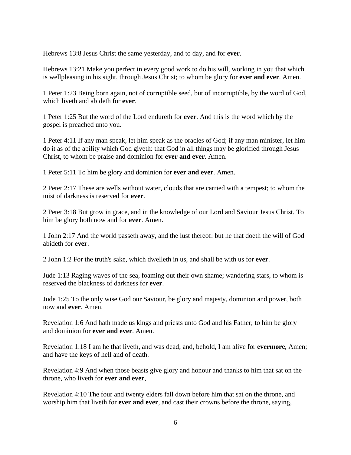Hebrews 13:8 Jesus Christ the same yesterday, and to day, and for **ever**.

Hebrews 13:21 Make you perfect in every good work to do his will, working in you that which is wellpleasing in his sight, through Jesus Christ; to whom be glory for **ever and ever**. Amen.

1 Peter 1:23 Being born again, not of corruptible seed, but of incorruptible, by the word of God, which liveth and abideth for **ever**.

1 Peter 1:25 But the word of the Lord endureth for **ever**. And this is the word which by the gospel is preached unto you.

1 Peter 4:11 If any man speak, let him speak as the oracles of God; if any man minister, let him do it as of the ability which God giveth: that God in all things may be glorified through Jesus Christ, to whom be praise and dominion for **ever and ever**. Amen.

1 Peter 5:11 To him be glory and dominion for **ever and ever**. Amen.

2 Peter 2:17 These are wells without water, clouds that are carried with a tempest; to whom the mist of darkness is reserved for **ever**.

2 Peter 3:18 But grow in grace, and in the knowledge of our Lord and Saviour Jesus Christ. To him be glory both now and for **ever**. Amen.

1 John 2:17 And the world passeth away, and the lust thereof: but he that doeth the will of God abideth for **ever**.

2 John 1:2 For the truth's sake, which dwelleth in us, and shall be with us for **ever**.

Jude 1:13 Raging waves of the sea, foaming out their own shame; wandering stars, to whom is reserved the blackness of darkness for **ever**.

Jude 1:25 To the only wise God our Saviour, be glory and majesty, dominion and power, both now and **ever**. Amen.

Revelation 1:6 And hath made us kings and priests unto God and his Father; to him be glory and dominion for **ever and ever**. Amen.

Revelation 1:18 I am he that liveth, and was dead; and, behold, I am alive for **evermore**, Amen; and have the keys of hell and of death.

Revelation 4:9 And when those beasts give glory and honour and thanks to him that sat on the throne, who liveth for **ever and ever**,

Revelation 4:10 The four and twenty elders fall down before him that sat on the throne, and worship him that liveth for **ever and ever**, and cast their crowns before the throne, saying,